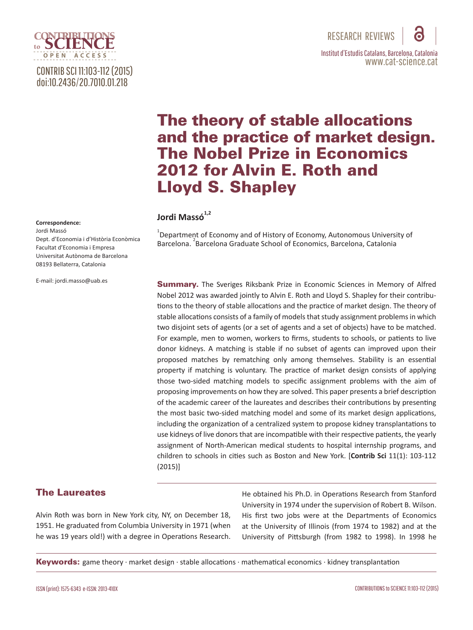# CONTRIB SCI 11:103-112 (2015) doi:10.2436/20.7010.01.218

**OPEN A ACCESS**

**Correspondence:**

Jordi Massó Dept. d'Economia i d'Història Econòmica Facultat d'Economia i Empresa Universitat Autònoma de Barcelona 08193 Bellaterra, Catalonia

E-mail: jordi.masso@uab.es

# The theory of stable allocations and the practice of market design. The Nobel Prize in Economics 2012 for Alvin E. Roth and Lloyd S. Shapley

## Jordi Massó<sup>1,2</sup>

 $^{1}$ Department of Economy and of History of Economy, Autonomous University of Barcelona.<sup>2</sup> Barcelona Graduate School of Economics, Barcelona, Catalonia

Summary. The Sveriges Riksbank Prize in Economic Sciences in Memory of Alfred Nobel 2012 was awarded jointly to Alvin E. Roth and Lloyd S. Shapley for their contributions to the theory of stable allocations and the practice of market design. The theory of stable allocations consists of a family of models that study assignment problems in which two disjoint sets of agents (or a set of agents and a set of objects) have to be matched. For example, men to women, workers to firms, students to schools, or patients to live donor kidneys. A matching is stable if no subset of agents can improved upon their proposed matches by rematching only among themselves. Stability is an essential property if matching is voluntary. The practice of market design consists of applying those two-sided matching models to specific assignment problems with the aim of proposing improvements on how they are solved. This paper presents a brief description of the academic career of the laureates and describes their contributions by presenting the most basic two-sided matching model and some of its market design applications, including the organization of a centralized system to propose kidney transplantations to use kidneys of live donors that are incompatible with their respective patients, the yearly assignment of North-American medical students to hospital internship programs, and children to schools in cities such as Boston and New York. [**Contrib Sci** 11(1): 103-112 (2015)]

## The Laureates

Alvin Roth was born in New York city, NY, on December 18, 1951. He graduated from Columbia University in 1971 (when he was 19 years old!) with a degree in Operations Research. He obtained his Ph.D. in Operations Research from Stanford University in 1974 under the supervision of Robert B. Wilson. His first two jobs were at the Departments of Economics at the University of Illinois (from 1974 to 1982) and at the University of Pittsburgh (from 1982 to 1998). In 1998 he

**Keywords:** game theory  $\cdot$  market design  $\cdot$  stable allocations  $\cdot$  mathematical economics  $\cdot$  kidney transplantation

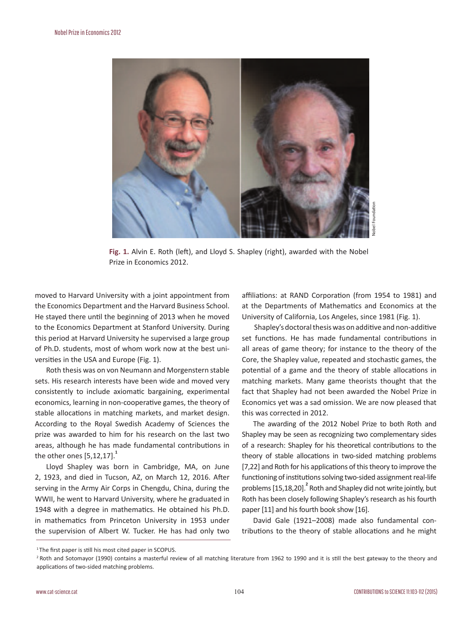

**Fig. 1.** Alvin E. Roth (left), and Lloyd S. Shapley (right), awarded with the Nobel Prize in Economics 2012.

moved to Harvard University with a joint appointment from the Economics Department and the Harvard Business School. He stayed there until the beginning of 2013 when he moved to the Economics Department at Stanford University. During this period at Harvard University he supervised a large group of Ph.D. students, most of whom work now at the best universities in the USA and Europe (Fig. 1).

Roth thesis was on von Neumann and Morgenstern stable sets. His research interests have been wide and moved very consistently to include axiomatic bargaining, experimental economics, learning in non-cooperative games, the theory of stable allocations in matching markets, and market design. According to the Royal Swedish Academy of Sciences the prize was awarded to him for his research on the last two areas, although he has made fundamental contributions in the other ones  $[5,12,17]$ .<sup>1</sup>

Lloyd Shapley was born in Cambridge, MA, on June 2, 1923, and died in Tucson, AZ, on March 12, 2016. After serving in the Army Air Corps in Chengdu, China, during the WWII, he went to Harvard University, where he graduated in 1948 with a degree in mathematics. He obtained his Ph.D. in mathematics from Princeton University in 1953 under the supervision of Albert W. Tucker. He has had only two

affiliations: at RAND Corporation (from 1954 to 1981) and at the Departments of Mathematics and Economics at the University of California, Los Angeles, since 1981 (Fig. 1).

 Shapley's doctoral thesis was on additive and non-additive set functions. He has made fundamental contributions in all areas of game theory; for instance to the theory of the Core, the Shapley value, repeated and stochastic games, the potential of a game and the theory of stable allocations in matching markets. Many game theorists thought that the fact that Shapley had not been awarded the Nobel Prize in Economics yet was a sad omission. We are now pleased that this was corrected in 2012.

The awarding of the 2012 Nobel Prize to both Roth and Shapley may be seen as recognizing two complementary sides of a research: Shapley for his theoretical contributions to the theory of stable allocations in two-sided matching problems [7,22] and Roth for his applications of this theory to improve the functioning of institutions solving two-sided assignment real-life problems [15,18,20].<sup>2</sup> Roth and Shapley did not write jointly, but Roth has been closely following Shapley's research as his fourth paper [11] and his fourth book show [16].

David Gale (1921–2008) made also fundamental contributions to the theory of stable allocations and he might

<sup>&</sup>lt;sup>1</sup>The first paper is still his most cited paper in SCOPUS.

<sup>&</sup>lt;sup>2</sup> Roth and Sotomayor (1990) contains a masterful review of all matching literature from 1962 to 1990 and it is still the best gateway to the theory and applications of two-sided matching problems.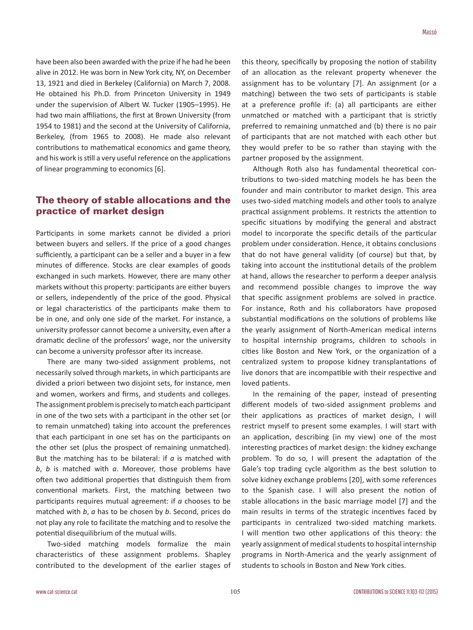have been also been awarded with the prize if he had he been alive in 2012. He was born in New York city, NY, on December 13, 1921 and died in Berkeley (California) on March 7, 2008. He obtained his Ph.D. from Princeton University in 1949 under the supervision of Albert W. Tucker (1905–1995). He had two main affiliations, the first at Brown University (from 1954 to 1981) and the second at the University of California, Berkeley, (from 1965 to 2008). He made also relevant contributions to mathematical economics and game theory, and his work is still a very useful reference on the applications of linear programming to economics [6].

### The theory of stable allocations and the practice of market design

Participants in some markets cannot be divided a priori between buyers and sellers. If the price of a good changes sufficiently, a participant can be a seller and a buyer in a few minutes of difference. Stocks are clear examples of goods exchanged in such markets. However, there are many other markets without this property: participants are either buyers or sellers, independently of the price of the good. Physical or legal characteristics of the participants make them to be in one, and only one side of the market. For instance, a university professor cannot become a university, even after a dramatic decline of the professors' wage, nor the university can become a university professor after its increase.

There are many two-sided assignment problems, not necessarily solved through markets, in which participants are divided a priori between two disjoint sets, for instance, men and women, workers and firms, and students and colleges. The assignment problem is precisely to match each participant in one of the two sets with a participant in the other set (or to remain unmatched) taking into account the preferences that each participant in one set has on the participants on the other set (plus the prospect of remaining unmatched). But the matching has to be bilateral: if *a* is matched with *b*, *b* is matched with *a*. Moreover, those problems have often two additional properties that distinguish them from conventional markets. First, the matching between two participants requires mutual agreement: if *a* chooses to be matched with *b*, *a* has to be chosen by *b*. Second, prices do not play any role to facilitate the matching and to resolve the potential disequilibrium of the mutual wills.

Two-sided matching models formalize the main characteristics of these assignment problems. Shapley contributed to the development of the earlier stages of this theory, specifically by proposing the notion of stability of an allocation as the relevant property whenever the assignment has to be voluntary [7]. An assignment (or a matching) between the two sets of participants is stable at a preference profile if: (a) all participants are either unmatched or matched with a participant that is strictly preferred to remaining unmatched and (b) there is no pair of participants that are not matched with each other but they would prefer to be so rather than staying with the partner proposed by the assignment.

Although Roth also has fundamental theoretical contributions to two-sided matching models he has been the founder and main contributor to market design. This area uses two-sided matching models and other tools to analyze practical assignment problems. It restricts the attention to specific situations by modifying the general and abstract model to incorporate the specific details of the particular problem under consideration. Hence, it obtains conclusions that do not have general validity (of course) but that, by taking into account the institutional details of the problem at hand, allows the researcher to perform a deeper analysis and recommend possible changes to improve the way that specific assignment problems are solved in practice. For instance, Roth and his collaborators have proposed substantial modifications on the solutions of problems like the yearly assignment of North-American medical interns to hospital internship programs, children to schools in cities like Boston and New York, or the organization of a centralized system to propose kidney transplantations of live donors that are incompatible with their respective and loved patients.

In the remaining of the paper, instead of presenting different models of two-sided assignment problems and their applications as practices of market design, I will restrict myself to present some examples. I will start with an application, describing (in my view) one of the most interesting practices of market design: the kidney exchange problem. To do so, I will present the adaptation of the Gale's top trading cycle algorithm as the best solution to solve kidney exchange problems [20], with some references to the Spanish case. I will also present the notion of stable allocations in the basic marriage model [7] and the main results in terms of the strategic incentives faced by participants in centralized two-sided matching markets. I will mention two other applications of this theory: the yearly assignment of medical students to hospital internship programs in North-America and the yearly assignment of students to schools in Boston and New York cities.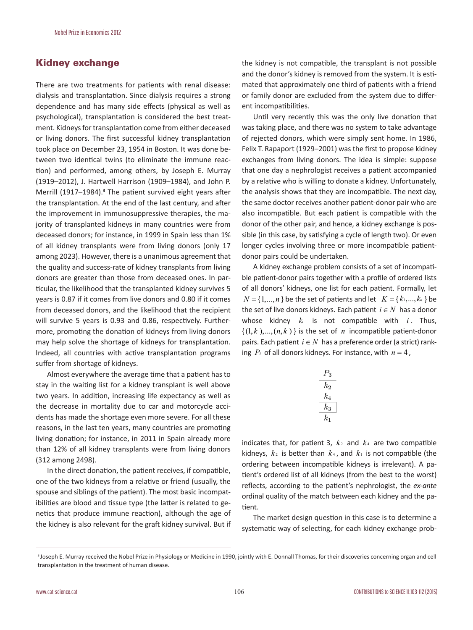#### Kidney exchange

There are two treatments for patients with renal disease: dialysis and transplantation. Since dialysis requires a strong dependence and has many side effects (physical as well as psychological), transplantation is considered the best treatment. Kidneys for transplantation come from either deceased or living donors. The first successful kidney transplantation took place on December 23, 1954 in Boston. It was done between two identical twins (to eliminate the immune reaction) and performed, among others, by Joseph E. Murray (1919–2012), J. Hartwell Harrison (1909–1984), and John P. Merrill (1917–1984).**<sup>3</sup>** The patient survived eight years after the transplantation. At the end of the last century, and after the improvement in immunosuppressive therapies, the majority of transplanted kidneys in many countries were from deceased donors; for instance, in 1999 in Spain less than 1% of all kidney transplants were from living donors (only 17 among 2023). However, there is a unanimous agreement that the quality and success-rate of kidney transplants from living donors are greater than those from deceased ones. In particular, the likelihood that the transplanted kidney survives 5 years is 0.87 if it comes from live donors and 0.80 if it comes from deceased donors, and the likelihood that the recipient will survive 5 years is 0.93 and 0.86, respectively. Furthermore, promoting the donation of kidneys from living donors may help solve the shortage of kidneys for transplantation. Indeed, all countries with active transplantation programs suffer from shortage of kidneys.

Almost everywhere the average time that a patient has to stay in the waiting list for a kidney transplant is well above two years. In addition, increasing life expectancy as well as the decrease in mortality due to car and motorcycle accidents has made the shortage even more severe. For all these reasons, in the last ten years, many countries are promoting living donation; for instance, in 2011 in Spain already more than 12% of all kidney transplants were from living donors (312 among 2498).

In the direct donation, the patient receives, if compatible, one of the two kidneys from a relative or friend (usually, the spouse and siblings of the patient). The most basic incompatibilities are blood and tissue type (the latter is related to genetics that produce immune reaction), although the age of the kidney is also relevant for the graft kidney survival. But if the kidney is not compatible, the transplant is not possible and the donor's kidney is removed from the system. It is estimated that approximately one third of patients with a friend or family donor are excluded from the system due to different incompatibilities.

Until very recently this was the only live donation that was taking place, and there was no system to take advantage of rejected donors, which were simply sent home. In 1986, Felix T. Rapaport (1929–2001) was the first to propose kidney exchanges from living donors. The idea is simple: suppose that one day a nephrologist receives a patient accompanied by a relative who is willing to donate a kidney. Unfortunately, the analysis shows that they are incompatible. The next day, the same doctor receives another patient-donor pair who are also incompatible. But each patient is compatible with the donor of the other pair, and hence, a kidney exchange is possible (in this case, by satisfying a cycle of length two). Or even longer cycles involving three or more incompatible patientdonor pairs could be undertaken.

A kidney exchange problem consists of a set of incompatible patient-donor pairs together with a profile of ordered lists of all donors' kidneys, one list for each patient. Formally, let  $N = \{1, ..., n\}$  be the set of patients and let  $K = \{k_1, ..., k_n\}$  be the set of live donors kidneys. Each patient  $i \in N$  has a donor whose kidney  $k_i$  is not compatible with  $i$ . Thus,  $\{(1, k), ..., (n, k)\}\$ is the set of *n* incompatible patient-donor pairs. Each patient  $i \in N$  has a preference order (a strict) ranking  $P_i$  of all donors kidneys. For instance, with  $n = 4$ ,

| 5               |
|-----------------|
| $k_{2}$         |
| $\mathcal{k}_4$ |
| $k_{3}$         |
| $\mathcal{k}_1$ |

indicates that, for patient 3,  $k_2$  and  $k_4$  are two compatible kidneys,  $k_2$  is better than  $k_4$ , and  $k_1$  is not compatible (the ordering between incompatible kidneys is irrelevant). A patient's ordered list of all kidneys (from the best to the worst) reflects, according to the patient's nephrologist, the *ex-ante* ordinal quality of the match between each kidney and the patient.

The market design question in this case is to determine a systematic way of selecting, for each kidney exchange prob-

<sup>&</sup>lt;sup>3</sup> Joseph E. Murray received the Nobel Prize in Physiology or Medicine in 1990, jointly with E. Donnall Thomas, for their discoveries concerning organ and cell transplantation in the treatment of human disease.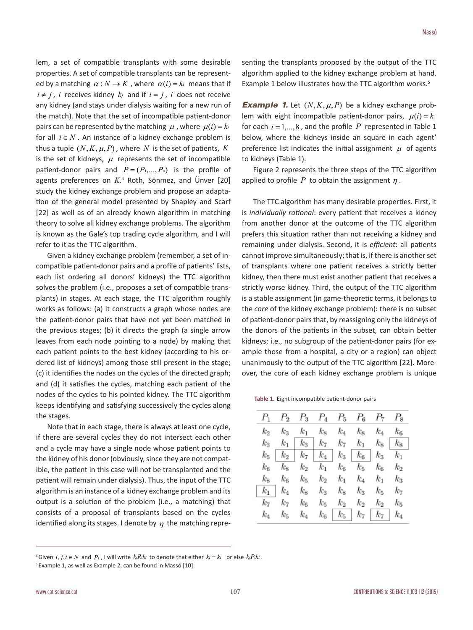lem, a set of compatible transplants with some desirable properties. A set of compatible transplants can be represented by a matching  $\alpha : N \to K$ , where  $\alpha(i) = k_i$  means that if  $i \neq j$ , *i* receives kidney  $k_j$  and if  $i = j$ , *i* does not receive any kidney (and stays under dialysis waiting for a new run of the match). Note that the set of incompatible patient-donor pairs can be represented by the matching  $\mu$ , where  $\mu(i) = k_i$ for all  $i \in N$ . An instance of a kidney exchange problem is thus a tuple  $(N, K, \mu, P)$ , where *N* is the set of patients, *K* is the set of kidneys,  $\mu$  represents the set of incompatible patient-donor pairs and  $P = (P_1, ..., P_n)$  is the profile of agents preferences on *K*. 4 Roth, Sönmez, and Ünver [20] study the kidney exchange problem and propose an adaptation of the general model presented by Shapley and Scarf [22] as well as of an already known algorithm in matching theory to solve all kidney exchange problems. The algorithm is known as the Gale's top trading cycle algorithm, and I will refer to it as the TTC algorithm.

Given a kidney exchange problem (remember, a set of incompatible patient-donor pairs and a profile of patients' lists, each list ordering all donors' kidneys) the TTC algorithm solves the problem (i.e., proposes a set of compatible transplants) in stages. At each stage, the TTC algorithm roughly works as follows: (a) It constructs a graph whose nodes are the patient-donor pairs that have not yet been matched in the previous stages; (b) it directs the graph (a single arrow leaves from each node pointing to a node) by making that each patient points to the best kidney (according to his ordered list of kidneys) among those still present in the stage; (c) it identifies the nodes on the cycles of the directed graph; and (d) it satisfies the cycles, matching each patient of the nodes of the cycles to his pointed kidney. The TTC algorithm keeps identifying and satisfying successively the cycles along the stages.

Note that in each stage, there is always at least one cycle, if there are several cycles they do not intersect each other and a cycle may have a single node whose patient points to the kidney of his donor (obviously, since they are not compatible, the patient in this case will not be transplanted and the patient will remain under dialysis). Thus, the input of the TTC algorithm is an instance of a kidney exchange problem and its output is a solution of the problem (i.e., a matching) that consists of a proposal of transplants based on the cycles identified along its stages. I denote by  $\eta$  the matching representing the transplants proposed by the output of the TTC algorithm applied to the kidney exchange problem at hand. Example 1 below illustrates how the TTC algorithm works.**<sup>5</sup>**

*Example 1.* Let  $(N, K, \mu, P)$  be a kidney exchange problem with eight incompatible patient-donor pairs,  $\mu(i) = k_i$ for each  $i = 1, ..., 8$ , and the profile  $P$  represented in Table 1 below, where the kidneys inside an square in each agent' preference list indicates the initial assignment  $\mu$  of agents to kidneys (Table 1).

Figure 2 represents the three steps of the TTC algorithm applied to profile  $P$  to obtain the assignment  $n$ .

The TTC algorithm has many desirable properties. First, it is *individually rational*: every patient that receives a kidney from another donor at the outcome of the TTC algorithm prefers this situation rather than not receiving a kidney and remaining under dialysis. Second, it is *efficient*: all patients cannot improve simultaneously; that is, if there is another set of transplants where one patient receives a strictly better kidney, then there must exist another patient that receives a strictly worse kidney. Third, the output of the TTC algorithm is a stable assignment (in game-theoretic terms, it belongs to the *core* of the kidney exchange problem): there is no subset of patient-donor pairs that, by reassigning only the kidneys of the donors of the patients in the subset, can obtain better kidneys; i.e., no subgroup of the patient-donor pairs (for example those from a hospital, a city or a region) can object unanimously to the output of the TTC algorithm [22]. Moreover, the core of each kidney exchange problem is unique

**Table 1.** Eight incompatible patient-donor pairs

|         |                     |         | $P_1$ $P_2$ $P_3$ $P_4$ $P_5$ $P_6$ $P_7$ $P_8$                                           |                     |             |                     |         |
|---------|---------------------|---------|-------------------------------------------------------------------------------------------|---------------------|-------------|---------------------|---------|
| $k_{2}$ |                     |         | $k_3$ $k_1$ $k_8$ $k_4$ $k_8$ $k_4$ $k_6$                                                 |                     |             |                     |         |
|         |                     |         | $k_3$ $k_1$   $k_3$   $k_7$ $k_7$ $k_1$ $k_8$   $k_8$                                     |                     |             |                     |         |
|         |                     |         | $k_5 \;   \; k_2 \;   \; k_7 \;   \; k_4 \;   \; k_3 \;   \; k_6 \;   \; k_3 \;   \; k_1$ |                     |             |                     |         |
| $k_6$   |                     |         | $k_8$ $k_2$ $k_1$ $k_6$ $k_5$                                                             |                     |             | $k_{6}$             | $k_{2}$ |
| кg      | $k_{6}$             | $k_5$   | $k_2$                                                                                     | $k_1$               | $k_4$       | $k_1$               | $k_{3}$ |
|         | $k_1\, \mid \, k_4$ | $k_{8}$ | $k_3$                                                                                     |                     | $k_8$ $k_3$ | $k_{5}$             | k7      |
| $k_7$   | $k_{7}$             | $k_{6}$ | $k_{5}$                                                                                   | $k_2$               | $k_2$       | $k_2$               | $k_{5}$ |
| $k_4$   | $k_{5}$             | $k_{4}$ |                                                                                           | $k_6 \mid k_5 \mid$ |             | $k_7 \mid k_7 \mid$ | $k_4$   |

<sup>&</sup>lt;sup>4</sup> Given *i*, *j*, *t* ∈ *N* and *P<sub>i</sub>* , I will write  $k_jR_ik_t$  to denote that either  $k_j = k_t$  or else  $k_jP_ik_t$ .

<sup>&</sup>lt;sup>5</sup> Example 1, as well as Example 2, can be found in Massó [10].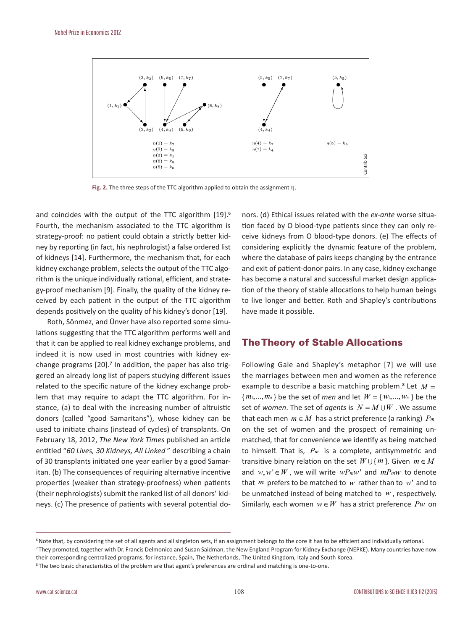

**Fig. 2.** The three steps of the TTC algorithm applied to obtain the assignment η.

and coincides with the output of the TTC algorithm [19].**<sup>6</sup>** Fourth, the mechanism associated to the TTC algorithm is strategy-proof: no patient could obtain a strictly better kidney by reporting (in fact, his nephrologist) a false ordered list of kidneys [14]. Furthermore, the mechanism that, for each kidney exchange problem, selects the output of the TTC algorithm is the unique individually rational, efficient, and strategy-proof mechanism [9]. Finally, the quality of the kidney received by each patient in the output of the TTC algorithm depends positively on the quality of his kidney's donor [19].

Roth, Sönmez, and Ünver have also reported some simulations suggesting that the TTC algorithm performs well and that it can be applied to real kidney exchange problems, and indeed it is now used in most countries with kidney exchange programs [20].<sup>7</sup> In addition, the paper has also triggered an already long list of papers studying different issues related to the specific nature of the kidney exchange problem that may require to adapt the TTC algorithm. For instance, (a) to deal with the increasing number of altruistic donors (called "good Samaritans"), whose kidney can be used to initiate chains (instead of cycles) of transplants. On February 18, 2012, *The New York Times* published an article entitled "*60 Lives, 30 Kidneys, All Linked* " describing a chain of 30 transplants initiated one year earlier by a good Samaritan. (b) The consequences of requiring alternative incentive properties (weaker than strategy-proofness) when patients (their nephrologists) submit the ranked list of all donors' kidneys. (c) The presence of patients with several potential do-

nors. (d) Ethical issues related with the *ex-ante* worse situation faced by O blood-type patients since they can only receive kidneys from O blood-type donors. (e) The effects of considering explicitly the dynamic feature of the problem, where the database of pairs keeps changing by the entrance and exit of patient-donor pairs. In any case, kidney exchange has become a natural and successful market design application of the theory of stable allocations to help human beings to live longer and better. Roth and Shapley's contributions have made it possible.

#### The Theory of Stable Allocations

Following Gale and Shapley's metaphor [7] we will use the marriages between men and women as the reference example to describe a basic matching problem.**<sup>8</sup>** Let *M* = { $m_1,...,m_n$ } be the set of *men* and let  $W = \{w_1,...,w_n\}$  be the set of *women*. The set of *agents* is  $N = M \cup W$ . We assume that each men  $m \in M$  has a strict preference (a ranking)  $P_m$ on the set of women and the prospect of remaining unmatched, that for convenience we identify as being matched to himself. That is, *Pm* is a complete, antisymmetric and transitive binary relation on the set  $W \cup \{m\}$ . Given  $m \in M$ and  $w, w' \in W$ , we will write  $w P_m w'$  and  $m P_m w$  to denote that *m* prefers to be matched to *w* rather than to *w*' and to be unmatched instead of being matched to *w* , respectively. Similarly, each women  $w \in W$  has a strict preference  $Pw$  on

<sup>&</sup>lt;sup>6</sup> Note that, by considering the set of all agents and all singleton sets, if an assignment belongs to the core it has to be efficient and individually rational.

<sup>7</sup> They promoted, together with Dr. Francis Delmonico and Susan Saidman, the New England Program for Kidney Exchange (NEPKE). Many countries have now their corresponding centralized programs, for instance, Spain, The Netherlands, The United Kingdom, Italy and South Korea.

<sup>8</sup>The two basic characteristics of the problem are that agent's preferences are ordinal and matching is one-to-one.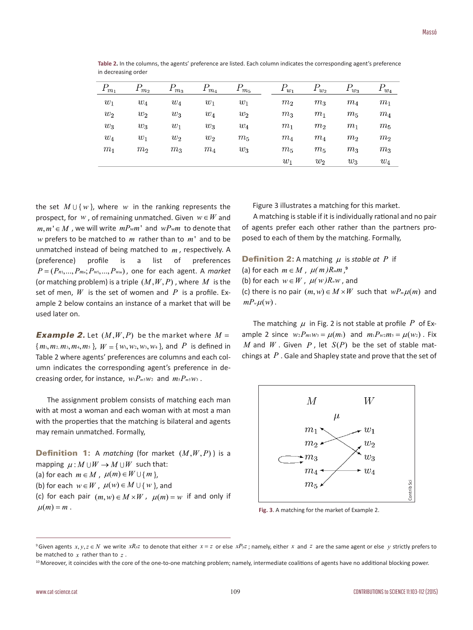| $P_{m_1}$ | 1 m <sub>2</sub> | m <sub>3</sub> | $m_4$ | $P^{\vphantom{\dagger}}_{m_5}$ | $1 w_1$        | $1 w_2$        | $w_3$          | $P_{w_4}$      |
|-----------|------------------|----------------|-------|--------------------------------|----------------|----------------|----------------|----------------|
| $w_1$     | $w_4$            | $w_4$          | $w_1$ | $w_1$                          | $m_2$          | m <sub>3</sub> | $m_4$          | m <sub>1</sub> |
| $w_2$     | $w_2$            | $w_3$          | $w_4$ | $w_2$                          | $m_3$          | m <sub>1</sub> | $m_5$          | $m_4$          |
| $w_3$     | $w_3$            | $w_1$          | $w_3$ | $w_4$                          | m <sub>1</sub> | m <sub>2</sub> | m <sub>1</sub> | $m_5$          |
| $w_4$     | $w_1$            | $w_2$          | $w_2$ | $m_5$                          | $m_4$          | $m_4$          | m <sub>2</sub> | m <sub>2</sub> |
| $m_1$     | m <sub>2</sub>   | $m_3$          | $m_4$ | $w_3$                          | $m_5$          | m <sub>5</sub> | $m_3$          | $m_3$          |
|           |                  |                |       |                                | $w_1$          | $w_2$          | $w_3$          | $w_4$          |

Table 2. In the columns, the agents' preference are listed. Each column indicates the corresponding agent's preference in decreasing order

the set  $M \cup \{w\}$ , where *w* in the ranking represents the prospect, for *w*, of remaining unmatched. Given  $w \in W$  and  $m, m' \in M$ , we will write  $mP_{w}m'$  and  $wP_{w}m$  to denote that *w* prefers to be matched to *m* rather than to *m*' and to be unmatched instead of being matched to *m* , respectively. A (preference) profile is a list of preferences  $P = (P_{n_1},...,P_{mn}; P_{w_1},..., P_{w_m})$ , one for each agent. A *market* (or matching problem) is a triple  $(M, W, P)$ , where M is the set of men, *W* is the set of women and *P* is a profile. Example 2 below contains an instance of a market that will be used later on.

*Example 2.* Let  $(M, W, P)$  be the market where  $M =$  ${m_1, m_2, m_3, m_4, m_5}$ ,  $W = {w_1, w_2, w_3, w_4}$ , and P is defined in Table 2 where agents' preferences are columns and each column indicates the corresponding agent's preference in decreasing order, for instance,  $w_1 P_{m5} w_2$  and  $m_5 P_{m5} w_3$ .

The assignment problem consists of matching each man with at most a woman and each woman with at most a man with the properties that the matching is bilateral and agents may remain unmatched. Formally,

**Definition 1:** A *matching* (for market  $(M, W, P)$ ) is a mapping  $\mu : M \cup W \rightarrow M \cup W$  such that: (a) for each  $m \in M$ ,  $\mu(m) \in W \cup \{m\}$ , (b) for each  $w \in W$ ,  $\mu(w) \in M \cup \{w\}$ , and (c) for each pair  $(m,w) \in M \times W$ ,  $\mu(m) = w$  if and only if  $\mu(m) = m$ .

Figure 3 illustrates a matching for this market.

A matching is stable if it is individually rational and no pair of agents prefer each other rather than the partners proposed to each of them by the matching. Formally,

**Definition 2:** A matching  $\mu$  is *stable at*  $P$  if (a) for each  $m \in M$ ,  $\mu(m)R_m m$ ,<sup>9</sup> (b) for each  $w \in W$ ,  $\mu(w)R_ww$ , and (c) there is no pair  $(m, w) \in M \times W$  such that  $wP_m \mu(m)$  and  $mP_w\mu(w)$ .

The matching  $\mu$  in Fig. 2 is not stable at profile  $P$  of Example 2 since  $w_2 P_{m_1} w_3 = \mu(m_1)$  and  $m_1 P_{w_2} m_3 = \mu(w_2)$ . Fix *M* and *W* . Given *P*, let  $S(P)$  be the set of stable matchings at *P* . Gale and Shapley state and prove that the set of



**Fig. 3**. A matching for the market of Example 2.

<sup>&</sup>lt;sup>9</sup> Given agents  $x, y, z \in N$  we write  $xR_yz$  to denote that either  $x = z$  or else  $xP_yz$ ; namely, either x and z are the same agent or else y strictly prefers to be matched to  $x$  rather than to  $z$ . (b) for each  $w \in W$ ,  $\mu(w) \in M \times W$ ,  $\mu(m) = w$  if and only if<br>  $\mu(m) = m$ .<br>
Tig. 3. A matching for the market of Example 2.<br>
Tig. 3. A matching for the market of Example 2.<br>
The matched to  $x$ ,  $x, y, z \in N$  we write  $xR_{y}z$  to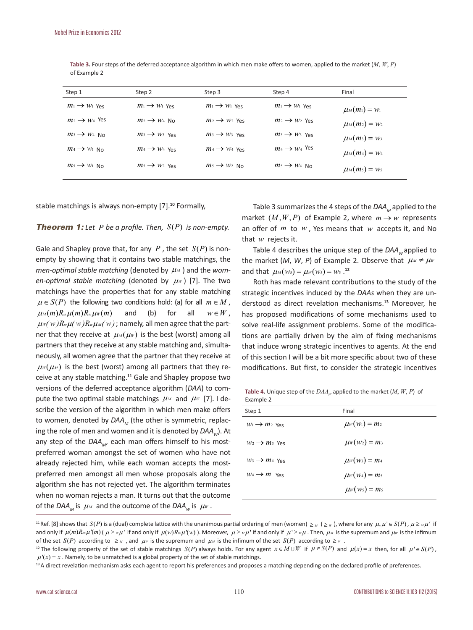| Step 1                    | Step 2                    | Step 3                    | Step 4                    | Final              |
|---------------------------|---------------------------|---------------------------|---------------------------|--------------------|
| $m_1 \rightarrow w_1$ Yes | $m_1 \rightarrow w_1$ Yes | $m_1 \rightarrow w_1$ Yes | $m_1 \rightarrow w_1$ Yes | $\mu_M(m_1) = w_1$ |
| $m_2 \rightarrow w_4$ Yes | $m_2 \rightarrow w_4$ No  | $m_2 \rightarrow w_2$ Yes | $m_2 \rightarrow w_2$ Yes | $\mu_M(m_2) = w_2$ |
| $m_3 \rightarrow w_4$ No. | $m_3 \rightarrow w_3$ Yes | $m_3 \rightarrow w_3$ Yes | $m_3 \rightarrow w_3$ Yes | $\mu_M(m_3) = w_3$ |
| $m_4 \rightarrow w_1$ No  | $m_4 \rightarrow w_4$ Yes | $m_4 \rightarrow w_4$ Yes | $m_4 \rightarrow w_4$ Yes | $\mu_M(m_4) = w_4$ |
| $m_5 \rightarrow w_1$ No  | $m_5 \rightarrow w_2$ Yes | $m_5 \rightarrow w_2$ No  | $m_5 \rightarrow w_4$ No  | $\mu_M(m_5) = w_5$ |

 **Table 3.** Four steps of the deferred acceptance algorithm in which men make offers to women, applied to the market (*M*, *W*, *P*) of Example 2

stable matchings is always non-empty [7].**<sup>10</sup>** Formally,

#### **Theorem 1:** Let  $P$  be a profile. Then,  $S(P)$  is non-empty.

Gale and Shapley prove that, for any  $P$ , the set  $S(P)$  is nonempty by showing that it contains two stable matchings, the *men-optimal stable matching* (denoted by  $\mu_M$ ) and the *women-optimal stable matching* (denoted by  $\mu$ <sup>*W*</sup>) [7]. The two matchings have the properties that for any stable matching  $\mu \in S(P)$  the following two conditions hold: (a) for all  $m \in M$ ,  $\mu_M(m)R_m\mu(m)R_m\mu_W(m)$  and (b) for all  $w \in W$ ,  $\mu_w(w)R_w\mu(w)R_w\mu_w(w)$ ; namely, all men agree that the partner that they receive at  $\mu_M(\mu_W)$  is the best (worst) among all partners that they receive at any stable matching and, simultaneously, all women agree that the partner that they receive at  $\mu_w(\mu_w)$  is the best (worst) among all partners that they receive at any stable matching.**<sup>11</sup>** Gale and Shapley propose two versions of the deferred acceptance algorithm (*DAA*) to compute the two optimal stable matchings  $\mu_M$  and  $\mu_W$  [7]. I describe the version of the algorithm in which men make offers to women, denoted by *DAA<sub>M</sub>* (the other is symmetric, replacing the role of men and women and it is denoted by *DAA<sub>W</sub>*). At any step of the DAA<sub>M</sub>, each man offers himself to his mostpreferred woman amongst the set of women who have not already rejected him, while each woman accepts the mostpreferred men amongst all men whose proposals along the algorithm she has not rejected yet. The algorithm terminates when no woman rejects a man. It turns out that the outcome of the *DAA<sub>M</sub>* is  $\mu_M$  and the outcome of the *DAA<sub>W</sub>* is  $\mu_W$ .

Table 3 summarizes the 4 steps of the *DAA*<sub>M</sub> applied to the market  $(M, W, P)$  of Example 2, where  $m \rightarrow w$  represents an offer of *m* to *w* , Yes means that *w* accepts it, and No that *w* rejects it.

Table 4 describes the unique step of the DAA<sub>*W*</sub> applied to the market  $(M, W, P)$  of Example 2. Observe that  $\mu_M \neq \mu_W$ and that  $\mu_M(w_5) = \mu_W(w_5) = w_5$ .<sup>12</sup>

Roth has made relevant contributions to the study of the strategic incentives induced by the *DAAs* when they are understood as direct revelation mechanisms.**<sup>13</sup>** Moreover, he has proposed modifications of some mechanisms used to solve real-life assignment problems. Some of the modifications are partially driven by the aim of fixing mechanisms that induce wrong strategic incentives to agents. At the end of this section I will be a bit more specific about two of these modifications. But first, to consider the strategic incentives

**Table 4.** Unique step of the  $DAA_w$  applied to the market  $(M, W, P)$  of Example 2

| Step 1                    | Final                |
|---------------------------|----------------------|
| $W_1 \rightarrow m_2$ Yes | $\mu_w(w_1) = m_2$   |
| $W_2 \rightarrow m_3$ Yes | $\mu_w(w_2) = m_3$   |
| $W_3 \rightarrow m_4$ Yes | $\mu_{W}(w_3) = m_4$ |
| $W_4 \rightarrow m_1$ Yes | $\mu_{W}(w_4) = m_5$ |
|                           | $\mu_{W}(w_5) = m_5$ |

<sup>&</sup>lt;sup>11</sup> Ref. [8] shows that  $S(P)$  is a (dual) complete lattice with the unanimous partial ordering of men (women)  $\geq_M$  ( $\geq_W$ ), where for any  $\mu, \mu \in S(P)$ ,  $\mu \geq_M \mu'$  if and only if  $\mu(m)R_m\mu'(m)$  ( $\mu \geq \mu\mu'$  if and only if  $\mu(w)R_m\mu'(w)$ ). Moreover,  $\mu \geq \mu\mu'$  if and only if  $\mu' \geq \mu\mu$ . Then,  $\mu_M$  is the supremum and  $\mu_W$  is the infimum of the set  $S(P)$  according to  $\geq u$ , and  $\mu w$  is the supremum and  $\mu w$  is the infimum of the set  $S(P)$  according to  $\geq w$ .<br><sup>12</sup> The following property of the set of stable matchings  $S(P)$  always holds. For any agent

 $\mu'(x) = x$ . Namely, to be unmatched is a global property of the set of stable matchings.

<sup>&</sup>lt;sup>13</sup> A direct revelation mechanism asks each agent to report his preferences and proposes a matching depending on the declared profile of preferences.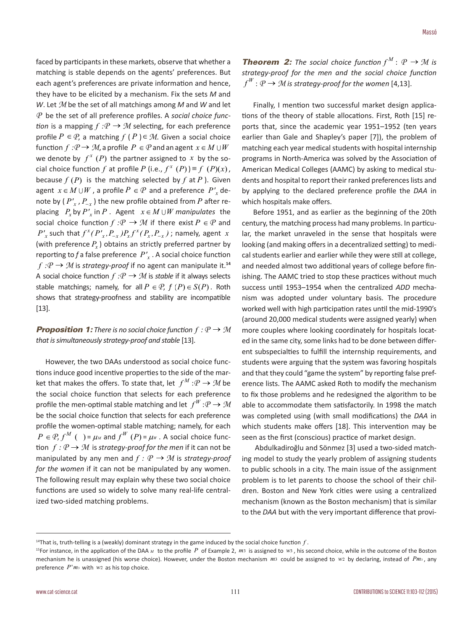faced by participants in these markets, observe that whether a matching is stable depends on the agents' preferences. But each agent's preferences are private information and hence, they have to be elicited by a mechanism. Fix the sets *M* and *W*. Let *M* be the set of all matchings among *M* and *W* and let *P* be the set of all preference profiles. A *social choice function* is a mapping  $f : P \to M$  selecting, for each preference profile  $P \in \mathcal{P}$ , a matching  $f(P) \in \mathcal{M}$ . Given a social choice function  $f : P \to M$ , a profile  $P \in P$  and an agent  $x \in M \cup W$ we denote by  $f^x(P)$  the partner assigned to x by the social choice function *f* at profile *P* (i.e.,  $f^x(P)$ ) = *f* (*P*)(*x*), because  $f(P)$  is the matching selected by  $f$  at  $P$ ). Given agent  $x \in M \cup W$ , a profile  $P \in \mathcal{P}$  and a preference  $P'$ , denote by  $(P', P_{-x})$  the new profile obtained from *P* after replacing  $P_r$  by  $P'_r$  in  $P$ . Agent  $x \in M \cup W$  manipulates the social choice function  $f : P \to M$  if there exist  $P \in P$  and  $P'_{x}$  such that  $f^{x}(P'_{x}, P_{-x})P_{x}f^{x}(P_{x}, P_{-x})$ ; namely, agent *x* (with preference  $P_r$ ) obtains an strictly preferred partner by reporting to  $f$  a false preference  $P'$ <sub>x</sub>. A social choice function  $f : P \to M$  is *strategy-proof* if no agent can manipulate it.<sup>14</sup> A social choice function  $f : P \to M$  is *stable* if it always selects stable matchings; namely, for all  $P \in \mathcal{P}$ ,  $f(P) \in S(P)$ . Roth shows that strategy-proofness and stability are incompatible [13].

#### *Proposition 1: There is no social choice function* $f : P \to M$ *that is simultaneously strategy-proof and stable* [13].

 However, the two DAAs understood as social choice functions induce good incentive properties to the side of the market that makes the offers. To state that, let  $f^M : P \to M$  be the social choice function that selects for each preference profile the men-optimal stable matching and let  $f^W: \mathcal{P} \to \mathcal{M}$ be the social choice function that selects for each preference profile the women-optimal stable matching; namely, for each  $P \in \mathcal{P}, f^M$  ( ) =  $\mu_M$  and  $f^W$  (P) =  $\mu_W$ . A social choice function  $f: P \rightarrow M$  is *strategy-proof for the men* if it can not be manipulated by any men and  $f : \mathcal{P} \rightarrow \mathcal{M}$  is *strategy-proof for the women* if it can not be manipulated by any women. The following result may explain why these two social choice functions are used so widely to solve many real-life centralized two-sided matching problems.

*Theorem 2: The social choice function*  $f^M: \mathcal{P} \rightarrow \mathcal{M}$  is *strategy-proof for the men and the social choice function*   $f^W: \mathcal{P} \rightarrow \mathcal{M}$  is strategy-proof for the women [4,13].

Finally, I mention two successful market design applications of the theory of stable allocations. First, Roth [15] reports that, since the academic year 1951–1952 (ten years earlier than Gale and Shapley's paper [7]), the problem of matching each year medical students with hospital internship programs in North-America was solved by the Association of American Medical Colleges (AAMC) by asking to medical students and hospital to report their ranked preferences lists and by applying to the declared preference profile the *DAA* in which hospitals make offers.

Before 1951, and as earlier as the beginning of the 20th century, the matching process had many problems. In particular, the market unraveled in the sense that hospitals were looking (and making offers in a decentralized setting) to medical students earlier and earlier while they were still at college, and needed almost two additional years of college before finishing. The AAMC tried to stop these practices without much success until 1953–1954 when the centralized *ADD* mechanism was adopted under voluntary basis. The procedure worked well with high participation rates until the mid-1990's (around 20,000 medical students were assigned yearly) when more couples where looking coordinately for hospitals located in the same city, some links had to be done between different subspecialties to fulfill the internship requirements, and students were arguing that the system was favoring hospitals and that they could "game the system" by reporting false preference lists. The AAMC asked Roth to modify the mechanism to fix those problems and he redesigned the algorithm to be able to accommodate them satisfactorily. In 1998 the match was completed using (with small modifications) the *DAA* in which students make offers [18]. This intervention may be seen as the first (conscious) practice of market design.

 Abdulkadiroğlu and Sönmez [3] used a two-sided matching model to study the yearly problem of assigning students to public schools in a city. The main issue of the assignment problem is to let parents to choose the school of their children. Boston and New York cities were using a centralized mechanism (known as the Boston mechanism) that is similar to the *DAA* but with the very important difference that provi-

<sup>&</sup>lt;sup>14</sup>That is, truth-telling is a (weakly) dominant strategy in the game induced by the social choice function  $f$ .

<sup>15</sup>For instance, in the application of the DAA *<sup>M</sup>* to the profile *P* of Example 2, *m*3 is assigned to *w*<sup>3</sup> , his second choice, while in the outcome of the Boston mechanism he is unassigned (his worse choice). However, under the Boston mechanism *m*3 could be assigned to *w*2 by declaring, instead of *Pm*<sup>3</sup> , any preference  $P<sup>1</sup>m<sub>3</sub>$  with  $w<sub>2</sub>$  as his top choice.